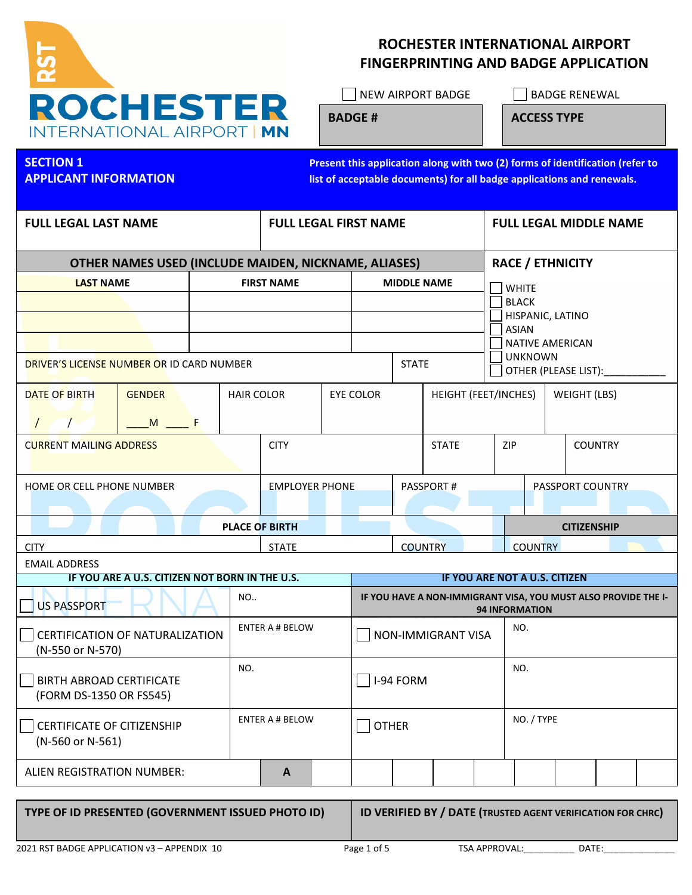

# ROCHESTER INTERNATIONAL AIRPORT FINGERPRINTING AND BADGE APPLICATION

BADGE #

ACCESS TYPE

| <b>FULL LEGAL LAST NAME</b><br><b>FULL LEGAL FIRST NAME</b><br><b>FULL LEGAL MIDDLE NAME</b><br><b>RACE / ETHNICITY</b><br>OTHER NAMES USED (INCLUDE MAIDEN, NICKNAME, ALIASES)<br><b>LAST NAME</b><br><b>FIRST NAME</b><br><b>MIDDLE NAME</b><br><b>WHITE</b><br><b>BLACK</b><br>HISPANIC, LATINO<br><b>ASIAN</b><br><b>NATIVE AMERICAN</b><br><b>UNKNOWN</b><br><b>STATE</b><br>DRIVER'S LICENSE NUMBER OR ID CARD NUMBER<br>OTHER (PLEASE LIST):<br><b>GENDER</b><br><b>EYE COLOR</b><br>HEIGHT (FEET/INCHES)<br><b>WEIGHT (LBS)</b><br><b>DATE OF BIRTH</b><br><b>HAIR COLOR</b><br>$M \sim$ F<br>$\prime$<br><b>CITY</b><br><b>STATE</b><br>ZIP<br><b>COUNTRY</b><br><b>CURRENT MAILING ADDRESS</b> | Present this application along with two (2) forms of identification (refer to<br>list of acceptable documents) for all badge applications and renewals. |  |  |  |  |  |  |  |  | <b>SECTION 1</b><br><b>APPLICANT INFORMATION</b> |  |  |  |  |  |
|----------------------------------------------------------------------------------------------------------------------------------------------------------------------------------------------------------------------------------------------------------------------------------------------------------------------------------------------------------------------------------------------------------------------------------------------------------------------------------------------------------------------------------------------------------------------------------------------------------------------------------------------------------------------------------------------------------|---------------------------------------------------------------------------------------------------------------------------------------------------------|--|--|--|--|--|--|--|--|--------------------------------------------------|--|--|--|--|--|
|                                                                                                                                                                                                                                                                                                                                                                                                                                                                                                                                                                                                                                                                                                          |                                                                                                                                                         |  |  |  |  |  |  |  |  |                                                  |  |  |  |  |  |
|                                                                                                                                                                                                                                                                                                                                                                                                                                                                                                                                                                                                                                                                                                          |                                                                                                                                                         |  |  |  |  |  |  |  |  |                                                  |  |  |  |  |  |
|                                                                                                                                                                                                                                                                                                                                                                                                                                                                                                                                                                                                                                                                                                          |                                                                                                                                                         |  |  |  |  |  |  |  |  |                                                  |  |  |  |  |  |
|                                                                                                                                                                                                                                                                                                                                                                                                                                                                                                                                                                                                                                                                                                          |                                                                                                                                                         |  |  |  |  |  |  |  |  |                                                  |  |  |  |  |  |
|                                                                                                                                                                                                                                                                                                                                                                                                                                                                                                                                                                                                                                                                                                          |                                                                                                                                                         |  |  |  |  |  |  |  |  |                                                  |  |  |  |  |  |
|                                                                                                                                                                                                                                                                                                                                                                                                                                                                                                                                                                                                                                                                                                          |                                                                                                                                                         |  |  |  |  |  |  |  |  |                                                  |  |  |  |  |  |
|                                                                                                                                                                                                                                                                                                                                                                                                                                                                                                                                                                                                                                                                                                          |                                                                                                                                                         |  |  |  |  |  |  |  |  |                                                  |  |  |  |  |  |
|                                                                                                                                                                                                                                                                                                                                                                                                                                                                                                                                                                                                                                                                                                          |                                                                                                                                                         |  |  |  |  |  |  |  |  |                                                  |  |  |  |  |  |
|                                                                                                                                                                                                                                                                                                                                                                                                                                                                                                                                                                                                                                                                                                          |                                                                                                                                                         |  |  |  |  |  |  |  |  |                                                  |  |  |  |  |  |
|                                                                                                                                                                                                                                                                                                                                                                                                                                                                                                                                                                                                                                                                                                          |                                                                                                                                                         |  |  |  |  |  |  |  |  |                                                  |  |  |  |  |  |
| PASSPORT COUNTRY<br><b>EMPLOYER PHONE</b><br><b>PASSPORT#</b><br>HOME OR CELL PHONE NUMBER                                                                                                                                                                                                                                                                                                                                                                                                                                                                                                                                                                                                               |                                                                                                                                                         |  |  |  |  |  |  |  |  |                                                  |  |  |  |  |  |
| <b>PLACE OF BIRTH</b><br><b>CITIZENSHIP</b>                                                                                                                                                                                                                                                                                                                                                                                                                                                                                                                                                                                                                                                              |                                                                                                                                                         |  |  |  |  |  |  |  |  |                                                  |  |  |  |  |  |
| <b>STATE</b><br><b>COUNTRY</b><br><b>COUNTRY</b><br><b>CITY</b>                                                                                                                                                                                                                                                                                                                                                                                                                                                                                                                                                                                                                                          |                                                                                                                                                         |  |  |  |  |  |  |  |  |                                                  |  |  |  |  |  |
| <b>EMAIL ADDRESS</b><br>IF YOU ARE A U.S. CITIZEN NOT BORN IN THE U.S.<br>IF YOU ARE NOT A U.S. CITIZEN                                                                                                                                                                                                                                                                                                                                                                                                                                                                                                                                                                                                  |                                                                                                                                                         |  |  |  |  |  |  |  |  |                                                  |  |  |  |  |  |
| <b>NO</b><br>IF YOU HAVE A NON-IMMIGRANT VISA, YOU MUST ALSO PROVIDE THE I-<br><b>US PASSPORT</b><br><b>94 INFORMATION</b>                                                                                                                                                                                                                                                                                                                                                                                                                                                                                                                                                                               |                                                                                                                                                         |  |  |  |  |  |  |  |  |                                                  |  |  |  |  |  |
| <b>ENTER A # BELOW</b><br>NO.<br>CERTIFICATION OF NATURALIZATION<br>NON-IMMIGRANT VISA<br>(N-550 or N-570)                                                                                                                                                                                                                                                                                                                                                                                                                                                                                                                                                                                               |                                                                                                                                                         |  |  |  |  |  |  |  |  |                                                  |  |  |  |  |  |
| NO.<br>NO.<br>I-94 FORM<br><b>BIRTH ABROAD CERTIFICATE</b><br>(FORM DS-1350 OR FS545)                                                                                                                                                                                                                                                                                                                                                                                                                                                                                                                                                                                                                    |                                                                                                                                                         |  |  |  |  |  |  |  |  |                                                  |  |  |  |  |  |
| NO. / TYPE<br><b>ENTER A # BELOW</b><br><b>OTHER</b><br><b>CERTIFICATE OF CITIZENSHIP</b><br>(N-560 or N-561)                                                                                                                                                                                                                                                                                                                                                                                                                                                                                                                                                                                            |                                                                                                                                                         |  |  |  |  |  |  |  |  |                                                  |  |  |  |  |  |
| ALIEN REGISTRATION NUMBER:<br>A                                                                                                                                                                                                                                                                                                                                                                                                                                                                                                                                                                                                                                                                          |                                                                                                                                                         |  |  |  |  |  |  |  |  |                                                  |  |  |  |  |  |

TYPE OF ID PRESENTED (GOVERNMENT ISSUED PHOTO ID) ID VERIFIED BY / DATE (TRUSTED AGENT VERIFICATION FOR CHRC)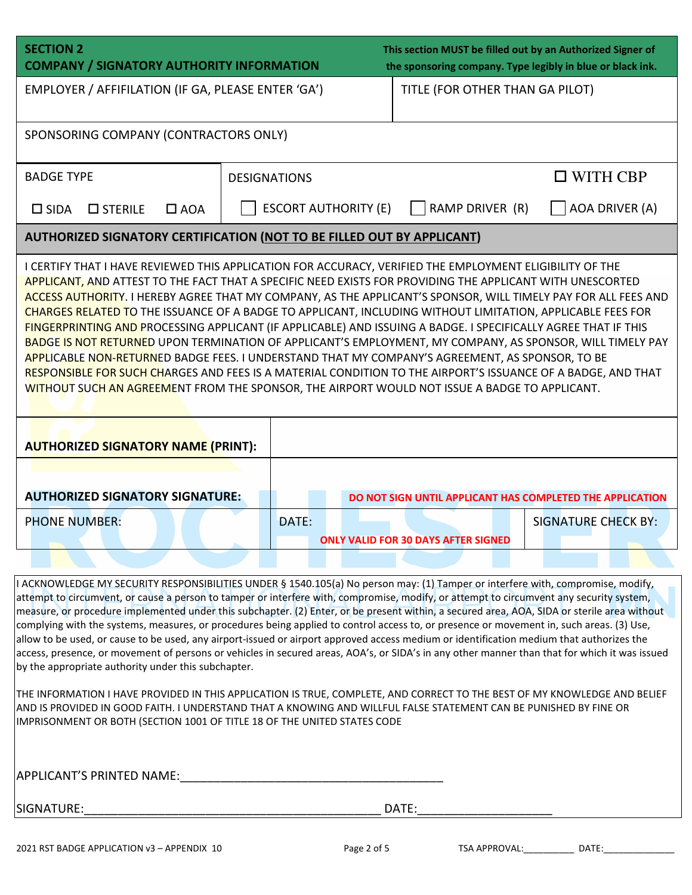| <b>SECTION 2</b><br><b>COMPANY / SIGNATORY AUTHORITY INFORMATION</b>                                                                                                                                                                                                                                                                                                                                                                                                                                                                                                                                                                                                                                                                                                                                                                                                                                                                                                                                            |                             | This section MUST be filled out by an Authorized Signer of<br>the sponsoring company. Type legibly in blue or black ink. |                            |  |  |  |  |  |  |  |
|-----------------------------------------------------------------------------------------------------------------------------------------------------------------------------------------------------------------------------------------------------------------------------------------------------------------------------------------------------------------------------------------------------------------------------------------------------------------------------------------------------------------------------------------------------------------------------------------------------------------------------------------------------------------------------------------------------------------------------------------------------------------------------------------------------------------------------------------------------------------------------------------------------------------------------------------------------------------------------------------------------------------|-----------------------------|--------------------------------------------------------------------------------------------------------------------------|----------------------------|--|--|--|--|--|--|--|
| EMPLOYER / AFFIFILATION (IF GA, PLEASE ENTER 'GA')                                                                                                                                                                                                                                                                                                                                                                                                                                                                                                                                                                                                                                                                                                                                                                                                                                                                                                                                                              |                             | TITLE (FOR OTHER THAN GA PILOT)                                                                                          |                            |  |  |  |  |  |  |  |
| SPONSORING COMPANY (CONTRACTORS ONLY)                                                                                                                                                                                                                                                                                                                                                                                                                                                                                                                                                                                                                                                                                                                                                                                                                                                                                                                                                                           |                             |                                                                                                                          |                            |  |  |  |  |  |  |  |
| <b>BADGE TYPE</b>                                                                                                                                                                                                                                                                                                                                                                                                                                                                                                                                                                                                                                                                                                                                                                                                                                                                                                                                                                                               | <b>DESIGNATIONS</b>         |                                                                                                                          | $\Box$ WITH CBP            |  |  |  |  |  |  |  |
| $\square$ STERILE<br>$\Box$ AOA<br>$\Box$ SIDA                                                                                                                                                                                                                                                                                                                                                                                                                                                                                                                                                                                                                                                                                                                                                                                                                                                                                                                                                                  | <b>ESCORT AUTHORITY (E)</b> | RAMP DRIVER (R)                                                                                                          | AOA DRIVER (A)             |  |  |  |  |  |  |  |
| <b>AUTHORIZED SIGNATORY CERTIFICATION (NOT TO BE FILLED OUT BY APPLICANT)</b>                                                                                                                                                                                                                                                                                                                                                                                                                                                                                                                                                                                                                                                                                                                                                                                                                                                                                                                                   |                             |                                                                                                                          |                            |  |  |  |  |  |  |  |
| I CERTIFY THAT I HAVE REVIEWED THIS APPLICATION FOR ACCURACY, VERIFIED THE EMPLOYMENT ELIGIBILITY OF THE<br><b>APPLICANT, AND ATTEST TO THE FACT THAT A SPECIFIC NEED EXISTS FOR PROVIDING THE APPLICANT WITH UNESCORTED</b><br>ACCESS AUTHORITY. I HEREBY AGREE THAT MY COMPANY, AS THE APPLICANT'S SPONSOR, WILL TIMELY PAY FOR ALL FEES AND<br>CHARGES RELATED TO THE ISSUANCE OF A BADGE TO APPLICANT, INCLUDING WITHOUT LIMITATION, APPLICABLE FEES FOR<br>FINGERPRINTING AND PROCESSING APPLICANT (IF APPLICABLE) AND ISSUING A BADGE. I SPECIFICALLY AGREE THAT IF THIS<br>BADGE IS NOT RETURNED UPON TERMINATION OF APPLICANT'S EMPLOYMENT, MY COMPANY, AS SPONSOR, WILL TIMELY PAY<br>APPLICABLE NON-RETURNED BADGE FEES. I UNDERSTAND THAT MY COMPANY'S AGREEMENT, AS SPONSOR, TO BE<br>RESPONSIBLE FOR SUCH CHARGES AND FEES IS A MATERIAL CONDITION TO THE AIRPORT'S ISSUANCE OF A BADGE, AND THAT<br>WITHOUT SUCH AN AGREEMENT FROM THE SPONSOR, THE AIRPORT WOULD NOT ISSUE A BADGE TO APPLICANT. |                             |                                                                                                                          |                            |  |  |  |  |  |  |  |
| <b>AUTHORIZED SIGNATORY NAME (PRINT):</b>                                                                                                                                                                                                                                                                                                                                                                                                                                                                                                                                                                                                                                                                                                                                                                                                                                                                                                                                                                       |                             |                                                                                                                          |                            |  |  |  |  |  |  |  |
| <b>AUTHORIZED SIGNATORY SIGNATURE:</b>                                                                                                                                                                                                                                                                                                                                                                                                                                                                                                                                                                                                                                                                                                                                                                                                                                                                                                                                                                          |                             | DO NOT SIGN UNTIL APPLICANT HAS COMPLETED THE APPLICATION                                                                |                            |  |  |  |  |  |  |  |
| <b>PHONE NUMBER:</b>                                                                                                                                                                                                                                                                                                                                                                                                                                                                                                                                                                                                                                                                                                                                                                                                                                                                                                                                                                                            | DATE:                       | <b>ONLY VALID FOR 30 DAYS AFTER SIGNED</b>                                                                               | <b>SIGNATURE CHECK BY:</b> |  |  |  |  |  |  |  |
| I ACKNOWLEDGE MY SECURITY RESPONSIBILITIES UNDER § 1540.105(a) No person may: (1) Tamper or interfere with, compromise, modify,<br>attempt to circumvent, or cause a person to tamper or interfere with, compromise, modify, or attempt to circumvent any security system,<br>measure, or procedure implemented under this subchapter. (2) Enter, or be present within, a secured area, AOA, SIDA or sterile area without<br>customs, measures, as procedures being applied to control access to as prosence or moves                                                                                                                                                                                                                                                                                                                                                                                                                                                                                           |                             |                                                                                                                          |                            |  |  |  |  |  |  |  |

complying with the systems, measures, or procedures being applied to control access to, or presence or movement in, such areas. (3) Use, allow to be used, or cause to be used, any airport-issued or airport approved access medium or identification medium that authorizes the access, presence, or movement of persons or vehicles in secured areas, AOA's, or SIDA's in any other manner than that for which it was issued by the appropriate authority under this subchapter.

THE INFORMATION I HAVE PROVIDED IN THIS APPLICATION IS TRUE, COMPLETE, AND CORRECT TO THE BEST OF MY KNOWLEDGE AND BELIEF AND IS PROVIDED IN GOOD FAITH. I UNDERSTAND THAT A KNOWING AND WILLFUL FALSE STATEMENT CAN BE PUNISHED BY FINE OR IMPRISONMENT OR BOTH (SECTION 1001 OF TITLE 18 OF THE UNITED STATES CODE

APPLICANT'S PRINTED NAME:

SIGNATURE:\_\_\_\_\_\_\_\_\_\_\_\_\_\_\_\_\_\_\_\_\_\_\_\_\_\_\_\_\_\_\_\_\_\_\_\_\_\_\_\_\_\_\_\_ DATE:\_\_\_\_\_\_\_\_\_\_\_\_\_\_\_\_\_\_\_\_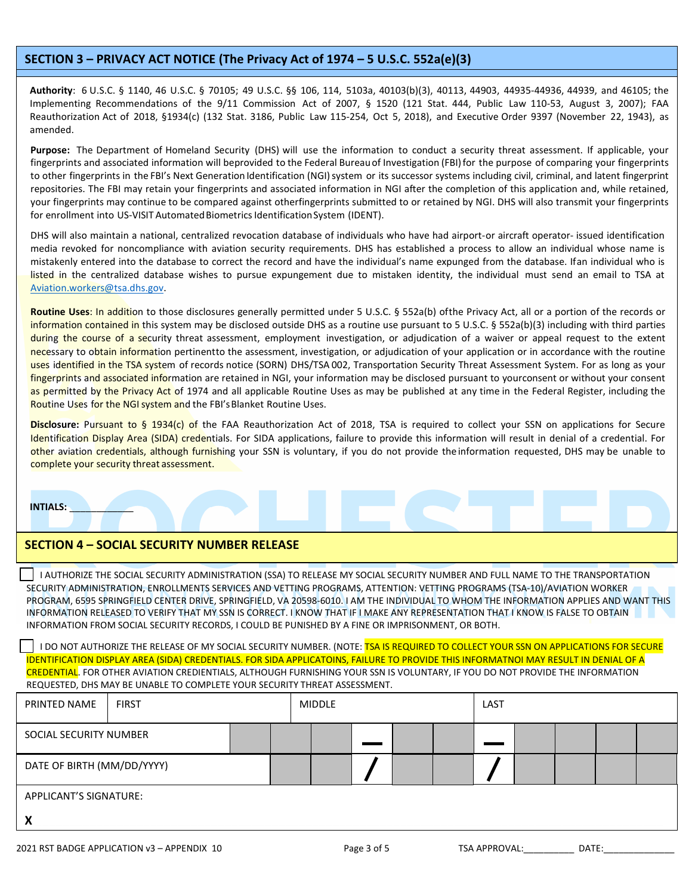#### SECTION 3 – PRIVACY ACT NOTICE (The Privacy Act of 1974 – 5 U.S.C. 552a(e)(3)

Authority: 6 U.S.C. § 1140, 46 U.S.C. § 70105; 49 U.S.C. §§ 106, 114, 5103a, 40103(b)(3), 40113, 44903, 44935-44936, 44939, and 46105; the Implementing Recommendations of the 9/11 Commission Act of 2007, § 1520 (121 Stat. 444, Public Law 110-53, August 3, 2007); FAA Reauthorization Act of 2018, §1934(c) (132 Stat. 3186, Public Law 115-254, Oct 5, 2018), and Executive Order 9397 (November 22, 1943), as amended.

Purpose: The Department of Homeland Security (DHS) will use the information to conduct a security threat assessment. If applicable, your fingerprints and associated information will beprovided to the Federal Bureau of Investigation (FBI) for the purpose of comparing your fingerprints to other fingerprints in the FBI's Next Generation Identification (NGI) system or its successor systems including civil, criminal, and latent fingerprint repositories. The FBI may retain your fingerprints and associated information in NGI after the completion of this application and, while retained, your fingerprints may continue to be compared against otherfingerprints submitted to or retained by NGI. DHS will also transmit your fingerprints for enrollment into US-VISIT Automated Biometrics Identification System (IDENT).

DHS will also maintain a national, centralized revocation database of individuals who have had airport-or aircraft operator- issued identification media revoked for noncompliance with aviation security requirements. DHS has established a process to allow an individual whose name is mistakenly entered into the database to correct the record and have the individual's name expunged from the database. Ifan individual who is listed in the centralized database wishes to pursue expungement due to mistaken identity, the individual must send an email to TSA at Aviation.workers@tsa.dhs.gov.

Routine Uses: In addition to those disclosures generally permitted under 5 U.S.C. § 552a(b) of the Privacy Act, all or a portion of the records or information contained in this system may be disclosed outside DHS as a routine use pursuant to 5 U.S.C. § 552a(b)(3) including with third parties during the course of a security threat assessment, employment investigation, or adjudication of a waiver or appeal request to the extent necessary to obtain information pertinentto the assessment, investigation, or adjudication of your application or in accordance with the routine uses identified in the TSA system of records notice (SORN) DHS/TSA 002, Transportation Security Threat Assessment System. For as long as your fingerprints and associated information are retained in NGI, your information may be disclosed pursuant to your consent or without your consent as permitted by the Privacy Act of 1974 and all applicable Routine Uses as may be published at any time in the Federal Register, including the Routine Uses for the NGI system and the FBI's Blanket Routine Uses.

Disclosure: Pursuant to § 1934(c) of the FAA Reauthorization Act of 2018, TSA is required to collect your SSN on applications for Secure Identification Display Area (SIDA) credentials. For SIDA applications, failure to provide this information will result in denial of a credential. For other aviation credentials, although furnishing your SSN is voluntary, if you do not provide the information requested, DHS may be unable to complete your security threat assessment.

INTIALS: \_\_\_\_\_\_\_\_\_\_\_\_

 $\overline{\phantom{a}}$ 

### SECTION 4 – SOCIAL SECURITY NUMBER RELEASE

I AUTHORIZE THE SOCIAL SECURITY ADMINISTRATION (SSA) TO RELEASE MY SOCIAL SECURITY NUMBER AND FULL NAME TO THE TRANSPORTATION SECURITY ADMINISTRATION, ENROLLMENTS SERVICES AND VETTING PROGRAMS, ATTENTION: VETTING PROGRAMS (TSA-10)/AVIATION WORKER PROGRAM, 6595 SPRINGFIELD CENTER DRIVE, SPRINGFIELD, VA 20598-6010. I AM THE INDIVIDUAL TO WHOM THE INFORMATION APPLIES AND WANT THIS INFORMATION RELEASED TO VERIFY THAT MY SSN IS CORRECT. I KNOW THAT IF I MAKE ANY REPRESENTATION THAT I KNOW IS FALSE TO OBTAIN INFORMATION FROM SOCIAL SECURITY RECORDS, I COULD BE PUNISHED BY A FINE OR IMPRISONMENT, OR BOTH.

I DO NOT AUTHORIZE THE RELEASE OF MY SOCIAL SECURITY NUMBER. (NOTE: TSA IS REQUIRED TO COLLECT YOUR SSN ON APPLICATIONS FOR SECURE IDENTIFICATION DISPLAY AREA (SIDA) CREDENTIALS. FOR SIDA APPLICATOINS, FAILURE TO PROVIDE THIS INFORMATNOI MAY RESULT IN DENIAL OF A CREDENTIAL. FOR OTHER AVIATION CREDIENTIALS, ALTHOUGH FURNISHING YOUR SSN IS VOLUNTARY, IF YOU DO NOT PROVIDE THE INFORMATION REQUESTED, DHS MAY BE UNABLE TO COMPLETE YOUR SECURITY THREAT ASSESSMENT.

| PRINTED NAME                  | <b>FIRST</b> |  |  |  | <b>MIDDLE</b> |  |  |  | LAST |  |  |  |
|-------------------------------|--------------|--|--|--|---------------|--|--|--|------|--|--|--|
| SOCIAL SECURITY NUMBER        |              |  |  |  |               |  |  |  |      |  |  |  |
| DATE OF BIRTH (MM/DD/YYYY)    |              |  |  |  |               |  |  |  |      |  |  |  |
| <b>APPLICANT'S SIGNATURE:</b> |              |  |  |  |               |  |  |  |      |  |  |  |
| v<br>Λ                        |              |  |  |  |               |  |  |  |      |  |  |  |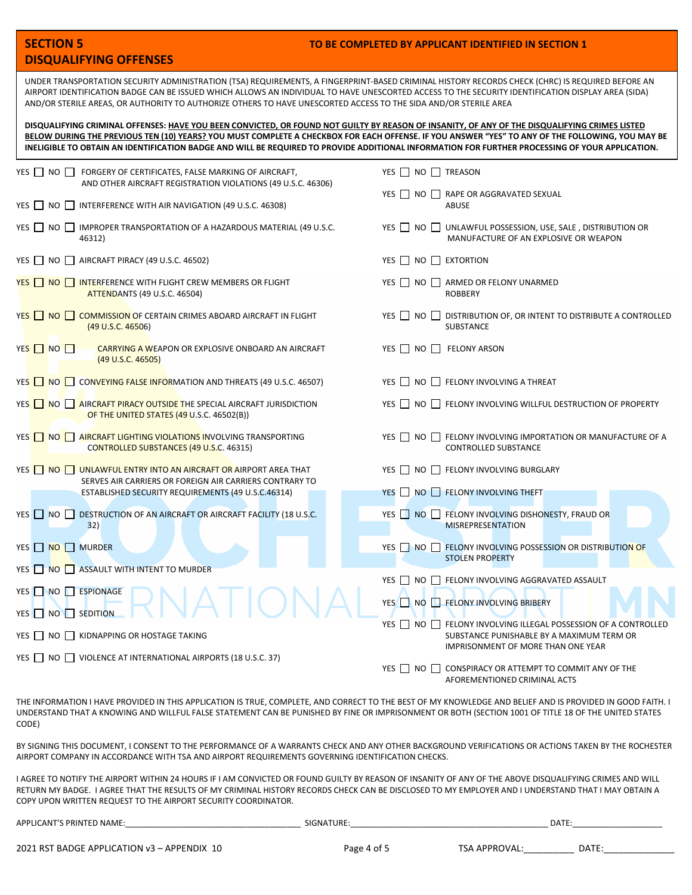|                                                                                                                                                                                                                                                                                                                                                                                                                                                       |  | <b>SECTION 5</b> |                                                                                                                                  | TO BE COMPLETED BY APPLICANT IDENTIFIED IN SECTION 1                                             |  |  |  |  |  |  |
|-------------------------------------------------------------------------------------------------------------------------------------------------------------------------------------------------------------------------------------------------------------------------------------------------------------------------------------------------------------------------------------------------------------------------------------------------------|--|------------------|----------------------------------------------------------------------------------------------------------------------------------|--------------------------------------------------------------------------------------------------|--|--|--|--|--|--|
| <b>DISQUALIFYING OFFENSES</b>                                                                                                                                                                                                                                                                                                                                                                                                                         |  |                  |                                                                                                                                  |                                                                                                  |  |  |  |  |  |  |
| UNDER TRANSPORTATION SECURITY ADMINISTRATION (TSA) REQUIREMENTS, A FINGERPRINT-BASED CRIMINAL HISTORY RECORDS CHECK (CHRC) IS REQUIRED BEFORE AN<br>AIRPORT IDENTIFICATION BADGE CAN BE ISSUED WHICH ALLOWS AN INDIVIDUAL TO HAVE UNESCORTED ACCESS TO THE SECURITY IDENTIFICATION DISPLAY AREA (SIDA)<br>AND/OR STERILE AREAS, OR AUTHORITY TO AUTHORIZE OTHERS TO HAVE UNESCORTED ACCESS TO THE SIDA AND/OR STERILE AREA                            |  |                  |                                                                                                                                  |                                                                                                  |  |  |  |  |  |  |
| DISQUALIFYING CRIMINAL OFFENSES: HAVE YOU BEEN CONVICTED, OR FOUND NOT GUILTY BY REASON OF INSANITY, OF ANY OF THE DISQUALIFYING CRIMES LISTED<br>BELOW DURING THE PREVIOUS TEN (10) YEARS? YOU MUST COMPLETE A CHECKBOX FOR EACH OFFENSE. IF YOU ANSWER "YES" TO ANY OF THE FOLLOWING, YOU MAY BE<br>INELIGIBLE TO OBTAIN AN IDENTIFICATION BADGE AND WILL BE REQUIRED TO PROVIDE ADDITIONAL INFORMATION FOR FURTHER PROCESSING OF YOUR APPLICATION. |  |                  |                                                                                                                                  |                                                                                                  |  |  |  |  |  |  |
|                                                                                                                                                                                                                                                                                                                                                                                                                                                       |  |                  | YES NO FORGERY OF CERTIFICATES, FALSE MARKING OF AIRCRAFT,<br>AND OTHER AIRCRAFT REGISTRATION VIOLATIONS (49 U.S.C. 46306)       | YES $\Box$ NO $\Box$ TREASON                                                                     |  |  |  |  |  |  |
|                                                                                                                                                                                                                                                                                                                                                                                                                                                       |  |                  | YES NO INTERFERENCE WITH AIR NAVIGATION (49 U.S.C. 46308)                                                                        | YES NO RAPE OR AGGRAVATED SEXUAL<br><b>ABUSE</b>                                                 |  |  |  |  |  |  |
|                                                                                                                                                                                                                                                                                                                                                                                                                                                       |  |                  | YES NO IMPROPER TRANSPORTATION OF A HAZARDOUS MATERIAL (49 U.S.C.<br>46312)                                                      | YES WOU UNLAWFUL POSSESSION, USE, SALE, DISTRIBUTION OR<br>MANUFACTURE OF AN EXPLOSIVE OR WEAPON |  |  |  |  |  |  |
|                                                                                                                                                                                                                                                                                                                                                                                                                                                       |  |                  | YES ■ NO ■ AIRCRAFT PIRACY (49 U.S.C. 46502)                                                                                     | YES $\Box$ NO $\Box$ EXTORTION                                                                   |  |  |  |  |  |  |
|                                                                                                                                                                                                                                                                                                                                                                                                                                                       |  |                  | YES NO INTERFERENCE WITH FLIGHT CREW MEMBERS OR FLIGHT<br><b>ATTENDANTS (49 U.S.C. 46504)</b>                                    | YES Π NO Π ARMED OR FELONY UNARMED<br><b>ROBBERY</b>                                             |  |  |  |  |  |  |
|                                                                                                                                                                                                                                                                                                                                                                                                                                                       |  |                  | YES   NO COMMISSION OF CERTAIN CRIMES ABOARD AIRCRAFT IN FLIGHT<br>(49 U.S.C. 46506)                                             | YES WO O DISTRIBUTION OF, OR INTENT TO DISTRIBUTE A CONTROLLED<br><b>SUBSTANCE</b>               |  |  |  |  |  |  |
|                                                                                                                                                                                                                                                                                                                                                                                                                                                       |  | YES NO           | <b>CARRYING A WEAPON OR EXPLOSIVE ONBOARD AN AIRCRAFT</b><br>(49 U.S.C. 46505)                                                   | YES □ NO □ FELONY ARSON                                                                          |  |  |  |  |  |  |
|                                                                                                                                                                                                                                                                                                                                                                                                                                                       |  |                  | YES NO CONVEYING FALSE INFORMATION AND THREATS (49 U.S.C. 46507)                                                                 | YES NO FELONY INVOLVING A THREAT                                                                 |  |  |  |  |  |  |
|                                                                                                                                                                                                                                                                                                                                                                                                                                                       |  |                  | YES NO AIRCRAFT PIRACY OUTSIDE THE SPECIAL AIRCRAFT JURISDICTION<br>OF THE UNITED STATES (49 U.S.C. 46502(B))                    | YES   NO   FELONY INVOLVING WILLFUL DESTRUCTION OF PROPERTY                                      |  |  |  |  |  |  |
|                                                                                                                                                                                                                                                                                                                                                                                                                                                       |  |                  | YES NO AIRCRAFT LIGHTING VIOLATIONS INVOLVING TRANSPORTING<br>CONTROLLED SUBSTANCES (49 U.S.C. 46315)                            | YES WO THELONY INVOLVING IMPORTATION OR MANUFACTURE OF A<br><b>CONTROLLED SUBSTANCE</b>          |  |  |  |  |  |  |
|                                                                                                                                                                                                                                                                                                                                                                                                                                                       |  |                  | YES NO UNLAWFUL ENTRY INTO AN AIRCRAFT OR AIRPORT AREA THAT<br>SERVES AIR CARRIERS OR FOREIGN AIR CARRIERS CONTRARY TO           | YES   NO   FELONY INVOLVING BURGLARY                                                             |  |  |  |  |  |  |
|                                                                                                                                                                                                                                                                                                                                                                                                                                                       |  |                  | ESTABLISHED SECURITY REQUIREMENTS (49 U.S.C.46314)                                                                               | YES NO FELONY INVOLVING THEFT                                                                    |  |  |  |  |  |  |
|                                                                                                                                                                                                                                                                                                                                                                                                                                                       |  | YES NO           | DESTRUCTION OF AN AIRCRAFT OR AIRCRAFT FACILITY (18 U.S.C.<br>32)                                                                | YES NO FELONY INVOLVING DISHONESTY, FRAUD OR<br><b>MISREPRESENTATION</b>                         |  |  |  |  |  |  |
|                                                                                                                                                                                                                                                                                                                                                                                                                                                       |  |                  | YES <b>NO</b> MURDER                                                                                                             | YES NO FELONY INVOLVING POSSESSION OR DISTRIBUTION OF<br><b>STOLEN PROPERTY</b>                  |  |  |  |  |  |  |
|                                                                                                                                                                                                                                                                                                                                                                                                                                                       |  |                  | YES NO ASSAULT WITH INTENT TO MURDER                                                                                             | YES NO FELONY INVOLVING AGGRAVATED ASSAULT                                                       |  |  |  |  |  |  |
|                                                                                                                                                                                                                                                                                                                                                                                                                                                       |  |                  | YES NO ESPIONAGE                                                                                                                 | YES NO FELONY INVOLVING BRIBERY                                                                  |  |  |  |  |  |  |
|                                                                                                                                                                                                                                                                                                                                                                                                                                                       |  |                  | YES <b>D</b> NO <b>D</b> SEDITION                                                                                                | YES TO NO TO FELONY INVOLVING ILLEGAL POSSESSION OF A CONTROLLED                                 |  |  |  |  |  |  |
|                                                                                                                                                                                                                                                                                                                                                                                                                                                       |  |                  | YES NO GI KIDNAPPING OR HOSTAGE TAKING<br>SUBSTANCE PUNISHABLE BY A MAXIMUM TERM OR<br><b>IMPRISONMENT OF MORE THAN ONE YEAR</b> |                                                                                                  |  |  |  |  |  |  |
|                                                                                                                                                                                                                                                                                                                                                                                                                                                       |  |                  | YES NO VIOLENCE AT INTERNATIONAL AIRPORTS (18 U.S.C. 37)                                                                         | YES     NO     CONSPIRACY OR ATTEMPT TO COMMIT ANY OF THE<br>AFOREMENTIONED CRIMINAL ACTS        |  |  |  |  |  |  |

THE INFORMATION I HAVE PROVIDED IN THIS APPLICATION IS TRUE, COMPLETE, AND CORRECT TO THE BEST OF MY KNOWLEDGE AND BELIEF AND IS PROVIDED IN GOOD FAITH. I UNDERSTAND THAT A KNOWING AND WILLFUL FALSE STATEMENT CAN BE PUNISHED BY FINE OR IMPRISONMENT OR BOTH (SECTION 1001 OF TITLE 18 OF THE UNITED STATES CODE)

BY SIGNING THIS DOCUMENT, I CONSENT TO THE PERFORMANCE OF A WARRANTS CHECK AND ANY OTHER BACKGROUND VERIFICATIONS OR ACTIONS TAKEN BY THE ROCHESTER AIRPORT COMPANY IN ACCORDANCE WITH TSA AND AIRPORT REQUIREMENTS GOVERNING IDENTIFICATION CHECKS.

I AGREE TO NOTIFY THE AIRPORT WITHIN 24 HOURS IF I AM CONVICTED OR FOUND GUILTY BY REASON OF INSANITY OF ANY OF THE ABOVE DISQUALIFYING CRIMES AND WILL RETURN MY BADGE. I AGREE THAT THE RESULTS OF MY CRIMINAL HISTORY RECORDS CHECK CAN BE DISCLOSED TO MY EMPLOYER AND I UNDERSTAND THAT I MAY OBTAIN A COPY UPON WRITTEN REQUEST TO THE AIRPORT SECURITY COORDINATOR.